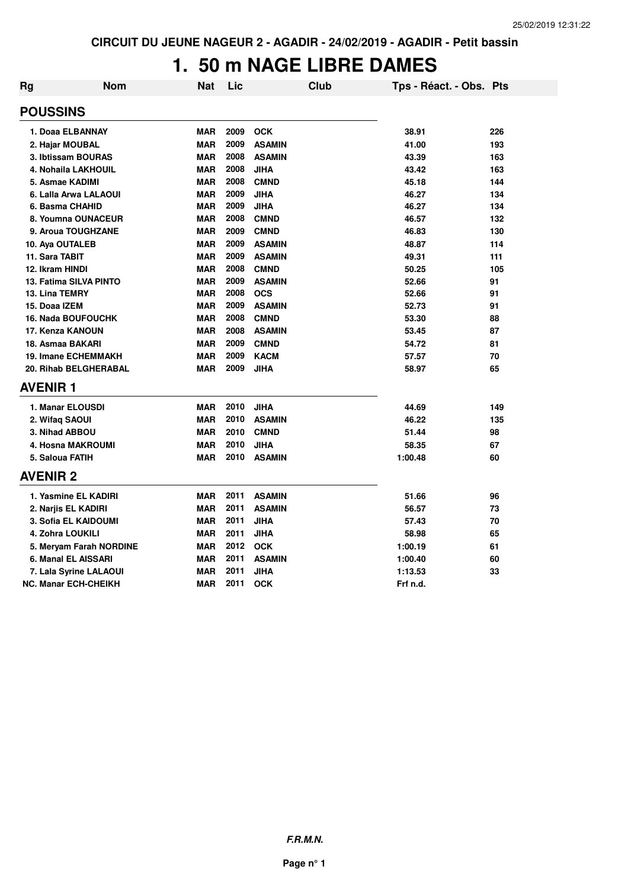# **1. 50 m NAGE LIBRE DAMES**

| <b>Rg</b>           | <b>Nom</b>                    | Nat        | Lic  | <b>Club</b>   | Tps - Réact. - Obs. Pts |     |
|---------------------|-------------------------------|------------|------|---------------|-------------------------|-----|
| <b>POUSSINS</b>     |                               |            |      |               |                         |     |
| 1. Doaa ELBANNAY    |                               | <b>MAR</b> | 2009 | <b>OCK</b>    | 38.91                   | 226 |
| 2. Hajar MOUBAL     |                               | <b>MAR</b> | 2009 | <b>ASAMIN</b> | 41.00                   | 193 |
|                     | 3. Ibtissam BOURAS            | <b>MAR</b> | 2008 | <b>ASAMIN</b> | 43.39                   | 163 |
|                     | 4. Nohaila LAKHOUIL           | <b>MAR</b> | 2008 | <b>JIHA</b>   | 43.42                   | 163 |
| 5. Asmae KADIMI     |                               | <b>MAR</b> | 2008 | <b>CMND</b>   | 45.18                   | 144 |
|                     | 6. Lalla Arwa LALAOUI         | <b>MAR</b> | 2009 | <b>JIHA</b>   | 46.27                   | 134 |
| 6. Basma CHAHID     |                               | <b>MAR</b> | 2009 | <b>JIHA</b>   | 46.27                   | 134 |
|                     | 8. Youmna OUNACEUR            | <b>MAR</b> | 2008 | <b>CMND</b>   | 46.57                   | 132 |
|                     | 9. Aroua TOUGHZANE            | <b>MAR</b> | 2009 | <b>CMND</b>   | 46.83                   | 130 |
| 10. Aya OUTALEB     |                               | <b>MAR</b> | 2009 | <b>ASAMIN</b> | 48.87                   | 114 |
| 11. Sara TABIT      |                               | <b>MAR</b> | 2009 | <b>ASAMIN</b> | 49.31                   | 111 |
| 12. Ikram HINDI     |                               | <b>MAR</b> | 2008 | <b>CMND</b>   | 50.25                   | 105 |
|                     | <b>13. Fatima SILVA PINTO</b> | <b>MAR</b> | 2009 | <b>ASAMIN</b> | 52.66                   | 91  |
| 13. Lina TEMRY      |                               | <b>MAR</b> | 2008 | <b>OCS</b>    | 52.66                   | 91  |
| 15. Doaa IZEM       |                               | <b>MAR</b> | 2009 | <b>ASAMIN</b> | 52.73                   | 91  |
|                     | <b>16. Nada BOUFOUCHK</b>     | <b>MAR</b> | 2008 | <b>CMND</b>   | 53.30                   | 88  |
| 17. Kenza KANOUN    |                               | <b>MAR</b> | 2008 | <b>ASAMIN</b> | 53.45                   | 87  |
| 18. Asmaa BAKARI    |                               | <b>MAR</b> | 2009 | <b>CMND</b>   | 54.72                   | 81  |
|                     | <b>19. Imane ECHEMMAKH</b>    | <b>MAR</b> | 2009 | <b>KACM</b>   | 57.57                   | 70  |
|                     | 20. Rihab BELGHERABAL         | <b>MAR</b> | 2009 | <b>JIHA</b>   | 58.97                   | 65  |
| <b>AVENIR1</b>      |                               |            |      |               |                         |     |
| 1. Manar ELOUSDI    |                               | <b>MAR</b> | 2010 | <b>JIHA</b>   | 44.69                   | 149 |
| 2. Wifaq SAOUI      |                               | <b>MAR</b> | 2010 | <b>ASAMIN</b> | 46.22                   | 135 |
| 3. Nihad ABBOU      |                               | <b>MAR</b> | 2010 | <b>CMND</b>   | 51.44                   | 98  |
|                     | 4. Hosna MAKROUMI             | <b>MAR</b> | 2010 | <b>JIHA</b>   | 58.35                   | 67  |
| 5. Saloua FATIH     |                               | <b>MAR</b> | 2010 | <b>ASAMIN</b> | 1:00.48                 | 60  |
| <b>AVENIR 2</b>     |                               |            |      |               |                         |     |
|                     | 1. Yasmine EL KADIRI          | <b>MAR</b> | 2011 | <b>ASAMIN</b> | 51.66                   | 96  |
| 2. Narjis EL KADIRI |                               | <b>MAR</b> | 2011 | <b>ASAMIN</b> | 56.57                   | 73  |
|                     | 3. Sofia EL KAIDOUMI          | <b>MAR</b> | 2011 | <b>JIHA</b>   | 57.43                   | 70  |
| 4. Zohra LOUKILI    |                               | <b>MAR</b> | 2011 | <b>JIHA</b>   | 58.98                   | 65  |
|                     | 5. Meryam Farah NORDINE       | <b>MAR</b> | 2012 | <b>OCK</b>    | 1:00.19                 | 61  |
|                     | 6. Manal EL AISSARI           | <b>MAR</b> | 2011 | <b>ASAMIN</b> | 1:00.40                 | 60  |
|                     | 7. Lala Syrine LALAOUI        | <b>MAR</b> | 2011 | <b>JIHA</b>   | 1:13.53                 | 33  |
|                     | <b>NC. Manar ECH-CHEIKH</b>   | <b>MAR</b> | 2011 | <b>OCK</b>    | Frf n.d.                |     |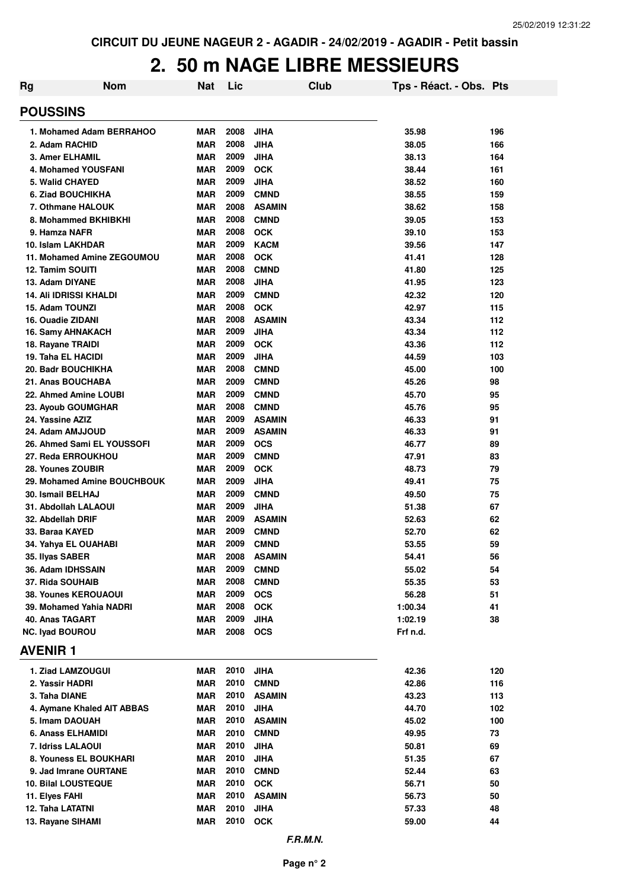# **2. 50 m NAGE LIBRE MESSIEURS**

| Rg                                              | <b>Nom</b> | Nat                      | Lic          |                            | Club | Tps - Réact. - Obs. Pts |            |
|-------------------------------------------------|------------|--------------------------|--------------|----------------------------|------|-------------------------|------------|
| <b>POUSSINS</b>                                 |            |                          |              |                            |      |                         |            |
| 1. Mohamed Adam BERRAHOO                        |            | <b>MAR</b>               | 2008         | <b>JIHA</b>                |      | 35.98                   | 196        |
| 2. Adam RACHID                                  |            | <b>MAR</b>               | 2008         | <b>JIHA</b>                |      | 38.05                   | 166        |
| <b>3. Amer ELHAMIL</b>                          |            | <b>MAR</b>               | 2009         | <b>JIHA</b>                |      | 38.13                   | 164        |
| 4. Mohamed YOUSFANI                             |            | <b>MAR</b>               | 2009         | <b>OCK</b>                 |      | 38.44                   | 161        |
| 5. Walid CHAYED                                 |            | <b>MAR</b>               | 2009         | <b>JIHA</b>                |      | 38.52                   | 160        |
| 6. Ziad BOUCHIKHA                               |            | <b>MAR</b>               | 2009         | <b>CMND</b>                |      | 38.55                   | 159        |
| 7. Othmane HALOUK                               |            | <b>MAR</b>               | 2008         | <b>ASAMIN</b>              |      | 38.62                   | 158        |
| 8. Mohammed BKHIBKHI                            |            | <b>MAR</b>               | 2008         | <b>CMND</b>                |      | 39.05                   | 153        |
| 9. Hamza NAFR                                   |            | <b>MAR</b>               | 2008         | <b>OCK</b>                 |      | 39.10                   | 153        |
| 10. Islam LAKHDAR                               |            | <b>MAR</b>               | 2009         | <b>KACM</b>                |      | 39.56                   | 147        |
| 11. Mohamed Amine ZEGOUMOU                      |            | <b>MAR</b>               | 2008         | <b>OCK</b>                 |      | 41.41                   | 128        |
| <b>12. Tamim SOUITI</b>                         |            | <b>MAR</b>               | 2008         | <b>CMND</b>                |      | 41.80                   | 125        |
| 13. Adam DIYANE                                 |            | <b>MAR</b>               | 2008         | <b>JIHA</b>                |      | 41.95                   | 123        |
| <b>14. Ali IDRISSI KHALDI</b>                   |            | <b>MAR</b>               | 2009         | <b>CMND</b>                |      | 42.32                   | 120        |
| 15. Adam TOUNZI                                 |            | <b>MAR</b>               | 2008         | <b>OCK</b>                 |      | 42.97                   | 115        |
| 16. Ouadie ZIDANI                               |            | <b>MAR</b>               | 2008         | <b>ASAMIN</b>              |      | 43.34                   | 112        |
| 16. Samy AHNAKACH                               |            | <b>MAR</b>               | 2009         | <b>JIHA</b>                |      | 43.34                   | 112        |
| 18. Rayane TRAIDI                               |            | <b>MAR</b>               | 2009<br>2009 | <b>OCK</b>                 |      | 43.36                   | 112        |
| 19. Taha EL HACIDI<br><b>20. Badr BOUCHIKHA</b> |            | <b>MAR</b><br><b>MAR</b> | 2008         | <b>JIHA</b><br><b>CMND</b> |      | 44.59<br>45.00          | 103<br>100 |
| 21. Anas BOUCHABA                               |            | <b>MAR</b>               | 2009         | <b>CMND</b>                |      | 45.26                   | 98         |
| 22. Ahmed Amine LOUBI                           |            | <b>MAR</b>               | 2009         | <b>CMND</b>                |      | 45.70                   | 95         |
| 23. Ayoub GOUMGHAR                              |            | <b>MAR</b>               | 2008         | <b>CMND</b>                |      | 45.76                   | 95         |
| 24. Yassine AZIZ                                |            | <b>MAR</b>               | 2009         | <b>ASAMIN</b>              |      | 46.33                   | 91         |
| 24. Adam AMJJOUD                                |            | <b>MAR</b>               | 2009         | <b>ASAMIN</b>              |      | 46.33                   | 91         |
| 26. Ahmed Sami EL YOUSSOFI                      |            | <b>MAR</b>               | 2009         | <b>OCS</b>                 |      | 46.77                   | 89         |
| 27. Reda ERROUKHOU                              |            | <b>MAR</b>               | 2009         | <b>CMND</b>                |      | 47.91                   | 83         |
| 28. Younes ZOUBIR                               |            | <b>MAR</b>               | 2009         | <b>OCK</b>                 |      | 48.73                   | 79         |
| 29. Mohamed Amine BOUCHBOUK                     |            | <b>MAR</b>               | 2009         | <b>JIHA</b>                |      | 49.41                   | 75         |
| 30. Ismail BELHAJ                               |            | <b>MAR</b>               | 2009         | <b>CMND</b>                |      | 49.50                   | 75         |
| 31. Abdollah LALAOUI                            |            | <b>MAR</b>               | 2009         | <b>JIHA</b>                |      | 51.38                   | 67         |
| 32. Abdellah DRIF                               |            | <b>MAR</b>               | 2009         | <b>ASAMIN</b>              |      | 52.63                   | 62         |
| 33. Baraa KAYED                                 |            | <b>MAR</b>               | 2009         | <b>CMND</b>                |      | 52.70                   | 62         |
| 34. Yahya EL OUAHABI                            |            | <b>MAR</b>               | 2009         | <b>CMND</b>                |      | 53.55                   | 59         |
| 35. Ilyas SABER                                 |            | MAR                      | 2008         | <b>ASAMIN</b>              |      | 54.41                   | 56         |
| 36. Adam IDHSSAIN                               |            | <b>MAR</b>               | 2009         | <b>CMND</b>                |      | 55.02                   | 54         |
| 37. Rida SOUHAIB                                |            | MAR                      | 2008         | <b>CMND</b>                |      | 55.35                   | 53         |
| <b>38. Younes KEROUAOUI</b>                     |            | MAR                      | 2009         | <b>OCS</b>                 |      | 56.28                   | 51         |
| 39. Mohamed Yahia NADRI                         |            | MAR                      | 2008         | <b>OCK</b>                 |      | 1:00.34                 | 41         |
| 40. Anas TAGART                                 |            | MAR                      | 2009         | <b>JIHA</b>                |      | 1:02.19                 | 38         |
| <b>NC. Iyad BOUROU</b>                          |            | MAR                      | 2008         | <b>OCS</b>                 |      | Frf n.d.                |            |
| <b>AVENIR1</b>                                  |            |                          |              |                            |      |                         |            |
| 1. Ziad LAMZOUGUI                               |            | MAR                      | 2010         | <b>JIHA</b>                |      | 42.36                   | 120        |
| 2. Yassir HADRI                                 |            | <b>MAR</b>               | 2010         | <b>CMND</b>                |      | 42.86                   | 116        |
| 3. Taha DIANE                                   |            | MAR                      | 2010         | <b>ASAMIN</b>              |      | 43.23                   | 113        |
| 4. Aymane Khaled AIT ABBAS                      |            | MAR                      | 2010         | <b>JIHA</b>                |      | 44.70                   | 102        |
| 5. Imam DAOUAH                                  |            | MAR                      | 2010         | <b>ASAMIN</b>              |      | 45.02                   | 100        |
| 6. Anass ELHAMIDI                               |            | MAR                      | 2010         | <b>CMND</b>                |      | 49.95                   | 73         |
| 7. Idriss LALAOUI                               |            | MAR                      | 2010         | <b>JIHA</b>                |      | 50.81                   | 69         |
| 8. Youness EL BOUKHARI                          |            | MAR                      | 2010         | <b>JIHA</b>                |      | 51.35                   | 67         |
| 9. Jad Imrane OURTANE                           |            | <b>MAR</b>               | 2010         | <b>CMND</b>                |      | 52.44                   | 63         |
| 10. Bilal LOUSTEQUE                             |            | <b>MAR</b>               | 2010         | <b>OCK</b>                 |      | 56.71                   | 50         |
| 11. Elyes FAHI                                  |            | <b>MAR</b>               | 2010         | <b>ASAMIN</b>              |      | 56.73                   | 50         |
| 12. Taha LATATNI                                |            | <b>MAR</b><br><b>MAR</b> | 2010<br>2010 | <b>JIHA</b>                |      | 57.33                   | 48         |
| 13. Rayane SIHAMI                               |            |                          |              | OCK                        |      | 59.00                   | 44         |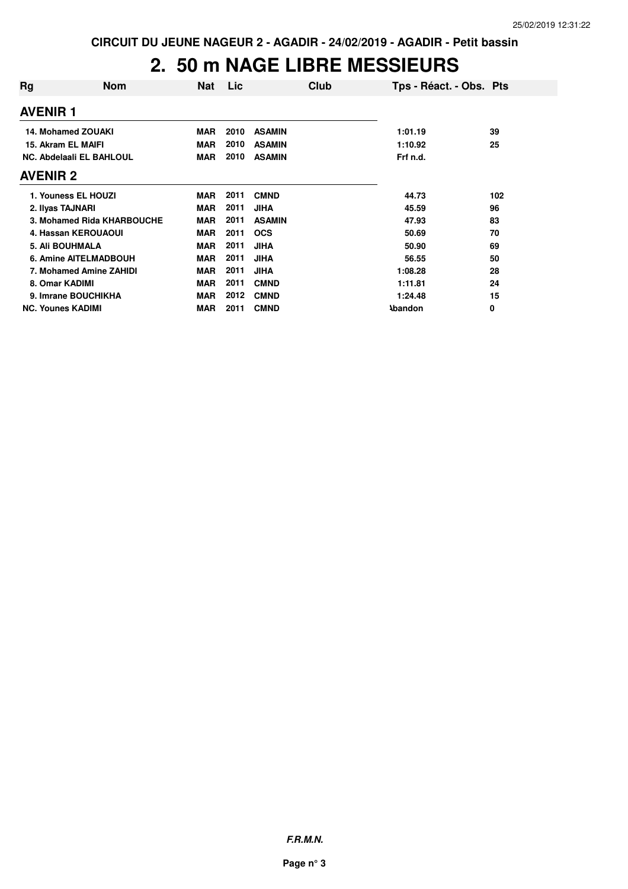## **2. 50 m NAGE LIBRE MESSIEURS**

| Rg                       | <b>Nom</b>                 | <b>Nat</b> | Lic  | Club          | Tps - Réact. - Obs. Pts |     |
|--------------------------|----------------------------|------------|------|---------------|-------------------------|-----|
| <b>AVENIR 1</b>          |                            |            |      |               |                         |     |
| 14. Mohamed ZOUAKI       |                            | <b>MAR</b> | 2010 | <b>ASAMIN</b> | 1:01.19                 | 39  |
| 15. Akram EL MAIFI       |                            | <b>MAR</b> | 2010 | <b>ASAMIN</b> | 1:10.92                 | 25  |
| NC. Abdelaali EL BAHLOUL |                            | <b>MAR</b> | 2010 | <b>ASAMIN</b> | Frf n.d.                |     |
| <b>AVENIR 2</b>          |                            |            |      |               |                         |     |
| 1. Youness EL HOUZI      |                            | <b>MAR</b> | 2011 | <b>CMND</b>   | 44.73                   | 102 |
| 2. Ilyas TAJNARI         |                            | <b>MAR</b> | 2011 | <b>JIHA</b>   | 45.59                   | 96  |
|                          | 3. Mohamed Rida KHARBOUCHE | <b>MAR</b> | 2011 | <b>ASAMIN</b> | 47.93                   | 83  |
| 4. Hassan KEROUAOUI      |                            | <b>MAR</b> | 2011 | <b>OCS</b>    | 50.69                   | 70  |
| <b>5. Ali BOUHMALA</b>   |                            | <b>MAR</b> | 2011 | <b>JIHA</b>   | 50.90                   | 69  |
| 6. Amine AITELMADBOUH    |                            | <b>MAR</b> | 2011 | <b>JIHA</b>   | 56.55                   | 50  |
| 7. Mohamed Amine ZAHIDI  |                            | <b>MAR</b> | 2011 | <b>JIHA</b>   | 1:08.28                 | 28  |
| 8. Omar KADIMI           |                            | <b>MAR</b> | 2011 | <b>CMND</b>   | 1:11.81                 | 24  |
| 9. Imrane BOUCHIKHA      |                            | <b>MAR</b> | 2012 | <b>CMND</b>   | 1:24.48                 | 15  |
| <b>NC. Younes KADIMI</b> |                            | <b>MAR</b> | 2011 | <b>CMND</b>   | <b>\bandon</b>          | 0   |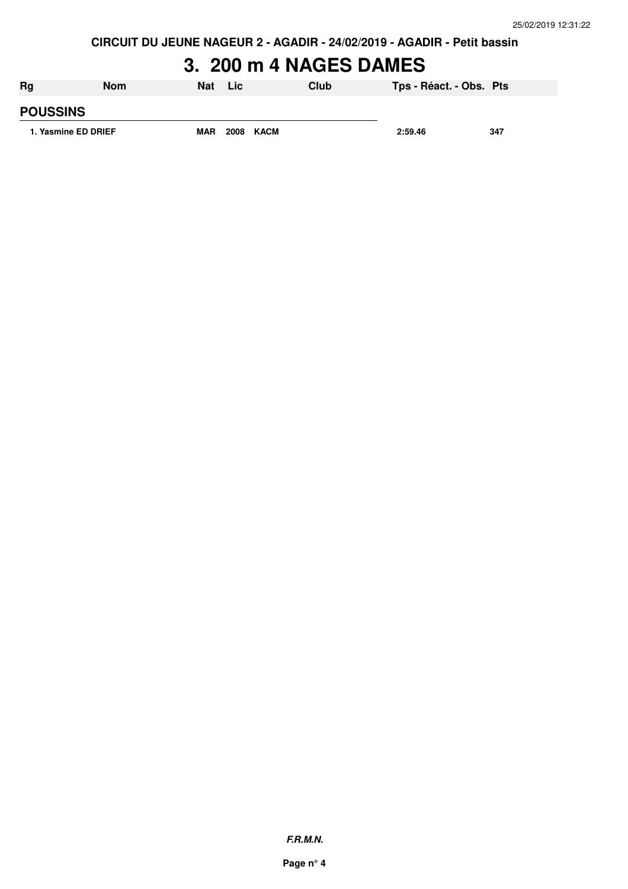**CIRCUIT DU JEUNE NAGEUR 2 - AGADIR - 24/02/2019 - AGADIR - Petit bassin**

# **3. 200 m 4 NAGES DAMES**

| Rg                  | Nom | <b>Nat</b> | Lic.      | Club | Tps - Réact. - Obs. Pts |     |
|---------------------|-----|------------|-----------|------|-------------------------|-----|
| <b>POUSSINS</b>     |     |            |           |      |                         |     |
| 1. Yasmine ED DRIEF |     | <b>MAR</b> | 2008 KACM |      | 2:59.46                 | 347 |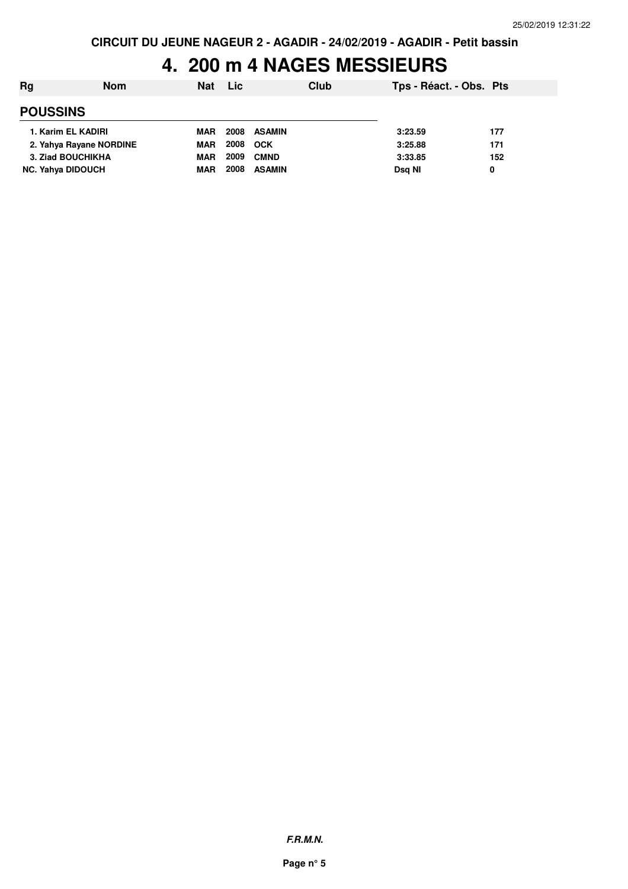## **4. 200 m 4 NAGES MESSIEURS**

| Rg                       | <b>Nom</b> | <b>Nat</b> | <b>Lic</b> |               | Club | Tps - Réact. - Obs. Pts |     |
|--------------------------|------------|------------|------------|---------------|------|-------------------------|-----|
| <b>POUSSINS</b>          |            |            |            |               |      |                         |     |
| 1. Karim EL KADIRI       |            | <b>MAR</b> | 2008       | <b>ASAMIN</b> |      | 3:23.59                 | 177 |
| 2. Yahya Rayane NORDINE  |            | <b>MAR</b> | 2008       | <b>OCK</b>    |      | 3:25.88                 | 171 |
| 3. Ziad BOUCHIKHA        |            | <b>MAR</b> | 2009       | <b>CMND</b>   |      | 3:33.85                 | 152 |
| <b>NC. Yahya DIDOUCH</b> |            | <b>MAR</b> | 2008       | <b>ASAMIN</b> |      | Dsg NI                  | 0   |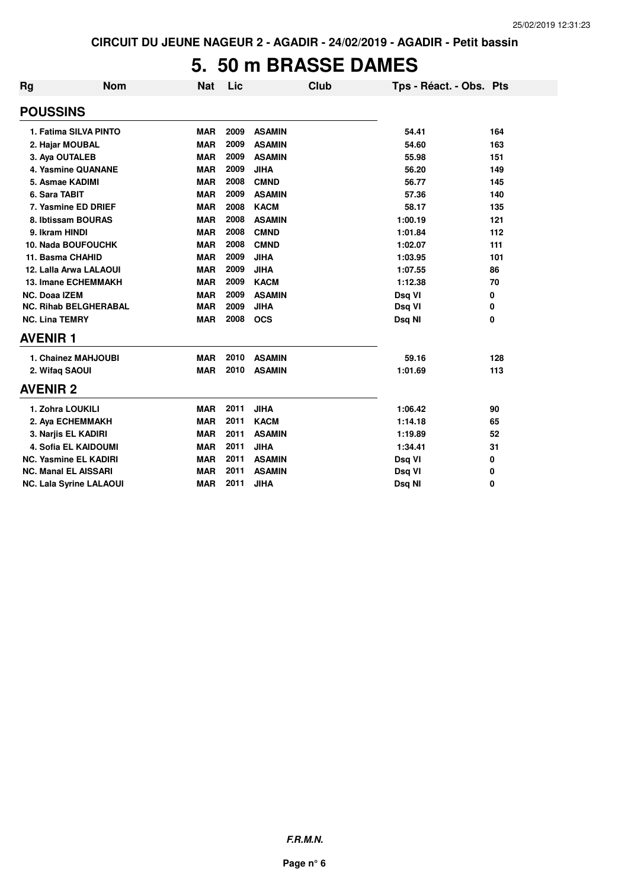#### **5. 50 m BRASSE DAMES**

| Rg                    | <b>Nom</b>                     | <b>Nat</b> | Lic  | Club          | Tps - Réact. - Obs. Pts |     |
|-----------------------|--------------------------------|------------|------|---------------|-------------------------|-----|
| <b>POUSSINS</b>       |                                |            |      |               |                         |     |
|                       | 1. Fatima SILVA PINTO          | <b>MAR</b> | 2009 | <b>ASAMIN</b> | 54.41                   | 164 |
|                       | 2. Hajar MOUBAL                | <b>MAR</b> | 2009 | <b>ASAMIN</b> | 54.60                   | 163 |
|                       | 3. Aya OUTALEB                 | <b>MAR</b> | 2009 | <b>ASAMIN</b> | 55.98                   | 151 |
|                       | 4. Yasmine QUANANE             | <b>MAR</b> | 2009 | <b>JIHA</b>   | 56.20                   | 149 |
|                       | 5. Asmae KADIMI                | <b>MAR</b> | 2008 | <b>CMND</b>   | 56.77                   | 145 |
| 6. Sara TABIT         |                                | <b>MAR</b> | 2009 | <b>ASAMIN</b> | 57.36                   | 140 |
|                       | 7. Yasmine ED DRIEF            | <b>MAR</b> | 2008 | <b>KACM</b>   | 58.17                   | 135 |
|                       | 8. Ibtissam BOURAS             | <b>MAR</b> | 2008 | <b>ASAMIN</b> | 1:00.19                 | 121 |
| 9. Ikram HINDI        |                                | <b>MAR</b> | 2008 | <b>CMND</b>   | 1:01.84                 | 112 |
|                       | <b>10. Nada BOUFOUCHK</b>      | <b>MAR</b> | 2008 | <b>CMND</b>   | 1:02.07                 | 111 |
|                       | 11. Basma CHAHID               | <b>MAR</b> | 2009 | <b>JIHA</b>   | 1:03.95                 | 101 |
|                       | 12. Lalla Arwa LALAOUI         | <b>MAR</b> | 2009 | <b>JIHA</b>   | 1:07.55                 | 86  |
|                       | <b>13. Imane ECHEMMAKH</b>     | <b>MAR</b> | 2009 | <b>KACM</b>   | 1:12.38                 | 70  |
| <b>NC. Doaa IZEM</b>  |                                | <b>MAR</b> | 2009 | <b>ASAMIN</b> | Dsq VI                  | 0   |
|                       | <b>NC. Rihab BELGHERABAL</b>   | <b>MAR</b> | 2009 | <b>JIHA</b>   | Dsq VI                  | 0   |
| <b>NC. Lina TEMRY</b> |                                | <b>MAR</b> | 2008 | <b>OCS</b>    | Dsq NI                  | 0   |
| <b>AVENIR1</b>        |                                |            |      |               |                         |     |
|                       | 1. Chainez MAHJOUBI            | <b>MAR</b> | 2010 | <b>ASAMIN</b> | 59.16                   | 128 |
|                       | 2. Wifaq SAOUI                 | <b>MAR</b> | 2010 | <b>ASAMIN</b> | 1:01.69                 | 113 |
| <b>AVENIR 2</b>       |                                |            |      |               |                         |     |
|                       | 1. Zohra LOUKILI               | <b>MAR</b> | 2011 | <b>JIHA</b>   | 1:06.42                 | 90  |
|                       | 2. Aya ECHEMMAKH               | <b>MAR</b> | 2011 | <b>KACM</b>   | 1:14.18                 | 65  |
|                       | 3. Narjis EL KADIRI            | <b>MAR</b> | 2011 | <b>ASAMIN</b> | 1:19.89                 | 52  |
|                       | <b>4. Sofia EL KAIDOUMI</b>    | <b>MAR</b> | 2011 | <b>JIHA</b>   | 1:34.41                 | 31  |
|                       | <b>NC. Yasmine EL KADIRI</b>   | <b>MAR</b> | 2011 | <b>ASAMIN</b> | Dsq VI                  | 0   |
|                       | <b>NC. Manal EL AISSARI</b>    | <b>MAR</b> | 2011 | <b>ASAMIN</b> | Dsq VI                  | 0   |
|                       | <b>NC. Lala Syrine LALAOUI</b> | <b>MAR</b> | 2011 | <b>JIHA</b>   | Dsq NI                  | 0   |

**F.R.M.N.**

**Page n° 6**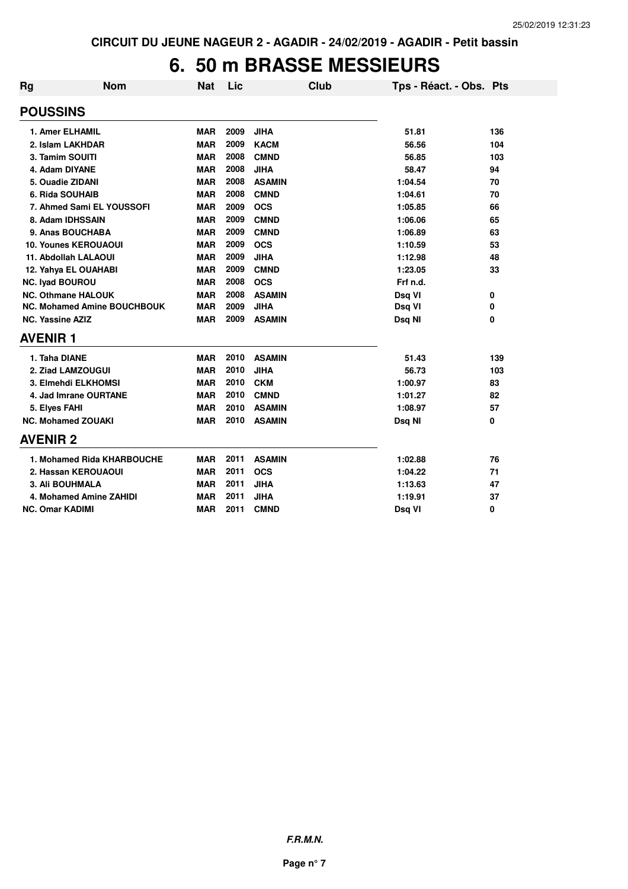#### **6. 50 m BRASSE MESSIEURS**

| <b>Rg</b>                   | <b>Nom</b>                         | <b>Nat</b> | Lic  | <b>Club</b>   | Tps - Réact. - Obs. Pts |     |
|-----------------------------|------------------------------------|------------|------|---------------|-------------------------|-----|
| <b>POUSSINS</b>             |                                    |            |      |               |                         |     |
| <b>1. Amer ELHAMIL</b>      |                                    | <b>MAR</b> | 2009 | <b>JIHA</b>   | 51.81                   | 136 |
| 2. Islam LAKHDAR            |                                    | <b>MAR</b> | 2009 | <b>KACM</b>   | 56.56                   | 104 |
| 3. Tamim SOUITI             |                                    | <b>MAR</b> | 2008 | <b>CMND</b>   | 56.85                   | 103 |
| 4. Adam DIYANE              |                                    | <b>MAR</b> | 2008 | <b>JIHA</b>   | 58.47                   | 94  |
| 5. Ouadie ZIDANI            |                                    | <b>MAR</b> | 2008 | <b>ASAMIN</b> | 1:04.54                 | 70  |
| 6. Rida SOUHAIB             |                                    | <b>MAR</b> | 2008 | <b>CMND</b>   | 1:04.61                 | 70  |
| 7. Ahmed Sami EL YOUSSOFI   |                                    | <b>MAR</b> | 2009 | <b>OCS</b>    | 1:05.85                 | 66  |
| 8. Adam IDHSSAIN            |                                    | <b>MAR</b> | 2009 | <b>CMND</b>   | 1:06.06                 | 65  |
| 9. Anas BOUCHABA            |                                    | <b>MAR</b> | 2009 | <b>CMND</b>   | 1:06.89                 | 63  |
| <b>10. Younes KEROUAOUI</b> |                                    | <b>MAR</b> | 2009 | <b>OCS</b>    | 1:10.59                 | 53  |
| 11. Abdollah LALAOUI        |                                    | <b>MAR</b> | 2009 | <b>JIHA</b>   | 1:12.98                 | 48  |
| 12. Yahya EL OUAHABI        |                                    | <b>MAR</b> | 2009 | <b>CMND</b>   | 1:23.05                 | 33  |
| <b>NC. Iyad BOUROU</b>      |                                    | <b>MAR</b> | 2008 | <b>OCS</b>    | Frf n.d.                |     |
| <b>NC. Othmane HALOUK</b>   |                                    | <b>MAR</b> | 2008 | <b>ASAMIN</b> | Dsq VI                  | 0   |
|                             | <b>NC. Mohamed Amine BOUCHBOUK</b> | <b>MAR</b> | 2009 | <b>JIHA</b>   | Dsq VI                  | 0   |
| <b>NC. Yassine AZIZ</b>     |                                    | <b>MAR</b> | 2009 | <b>ASAMIN</b> | Dsq NI                  | 0   |
| <b>AVENIR1</b>              |                                    |            |      |               |                         |     |
| 1. Taha DIANE               |                                    | <b>MAR</b> | 2010 | <b>ASAMIN</b> | 51.43                   | 139 |
| 2. Ziad LAMZOUGUI           |                                    | <b>MAR</b> | 2010 | <b>JIHA</b>   | 56.73                   | 103 |
| 3. Elmehdi ELKHOMSI         |                                    | <b>MAR</b> | 2010 | <b>CKM</b>    | 1:00.97                 | 83  |
| 4. Jad Imrane OURTANE       |                                    | <b>MAR</b> | 2010 | <b>CMND</b>   | 1:01.27                 | 82  |
| 5. Elyes FAHI               |                                    | <b>MAR</b> | 2010 | <b>ASAMIN</b> | 1:08.97                 | 57  |
| <b>NC. Mohamed ZOUAKI</b>   |                                    | <b>MAR</b> | 2010 | <b>ASAMIN</b> | Dsq NI                  | 0   |
| <b>AVENIR 2</b>             |                                    |            |      |               |                         |     |
|                             | 1. Mohamed Rida KHARBOUCHE         | MAR        | 2011 | <b>ASAMIN</b> | 1:02.88                 | 76  |
| 2. Hassan KEROUAOUI         |                                    | <b>MAR</b> | 2011 | <b>OCS</b>    | 1:04.22                 | 71  |
| <b>3. Ali BOUHMALA</b>      |                                    | <b>MAR</b> | 2011 | <b>JIHA</b>   | 1:13.63                 | 47  |
| 4. Mohamed Amine ZAHIDI     |                                    | <b>MAR</b> | 2011 | <b>JIHA</b>   | 1:19.91                 | 37  |
| <b>NC. Omar KADIMI</b>      |                                    | <b>MAR</b> | 2011 | <b>CMND</b>   | Dsq VI                  | 0   |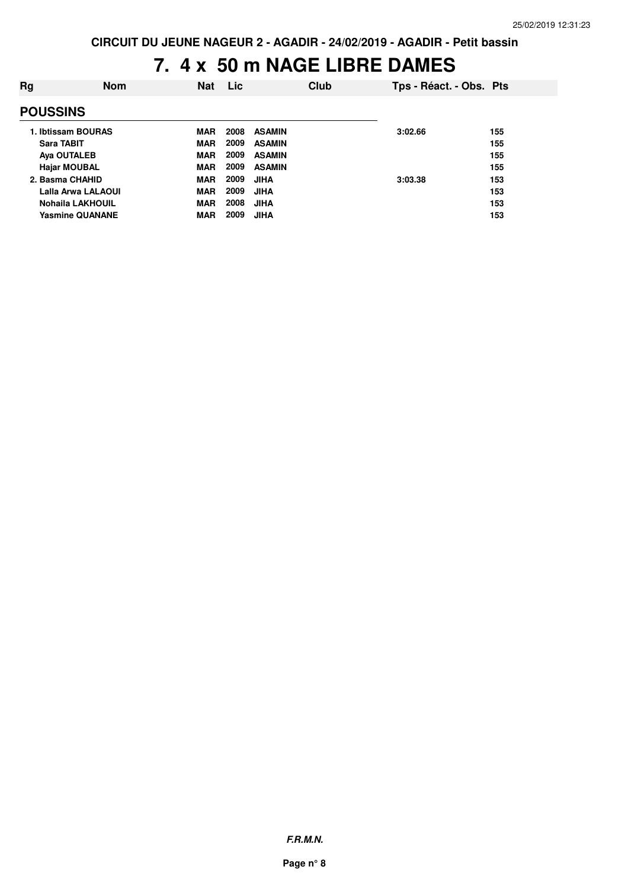# **7. 4 x 50 m NAGE LIBRE DAMES**

| Rg              | <b>Nom</b>              | <b>Nat</b> | Lic  | Club          | Tps - Réact. - Obs. Pts |     |
|-----------------|-------------------------|------------|------|---------------|-------------------------|-----|
| <b>POUSSINS</b> |                         |            |      |               |                         |     |
|                 | 1. Ibtissam BOURAS      | <b>MAR</b> | 2008 | <b>ASAMIN</b> | 3:02.66                 | 155 |
|                 | Sara TABIT              | <b>MAR</b> | 2009 | <b>ASAMIN</b> |                         | 155 |
|                 | <b>Aya OUTALEB</b>      | <b>MAR</b> | 2009 | <b>ASAMIN</b> |                         | 155 |
|                 | <b>Hajar MOUBAL</b>     | <b>MAR</b> | 2009 | <b>ASAMIN</b> |                         | 155 |
|                 | 2. Basma CHAHID         | <b>MAR</b> | 2009 | <b>JIHA</b>   | 3:03.38                 | 153 |
|                 | Lalla Arwa LALAOUI      | <b>MAR</b> | 2009 | <b>JIHA</b>   |                         | 153 |
|                 | <b>Nohaila LAKHOUIL</b> | <b>MAR</b> | 2008 | <b>JIHA</b>   |                         | 153 |
|                 | <b>Yasmine QUANANE</b>  | <b>MAR</b> | 2009 | <b>JIHA</b>   |                         | 153 |
|                 |                         |            |      |               |                         |     |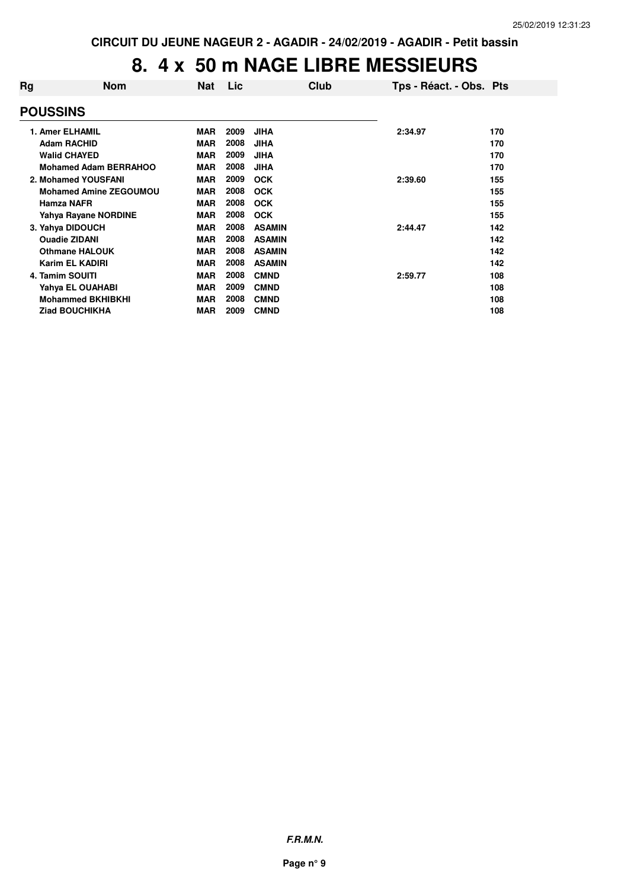# **8. 4 x 50 m NAGE LIBRE MESSIEURS**

| Rg | <b>Nom</b>                    | <b>Nat</b> | Lic  | Club          | Tps - Réact. - Obs. Pts |     |
|----|-------------------------------|------------|------|---------------|-------------------------|-----|
|    | <b>POUSSINS</b>               |            |      |               |                         |     |
|    | 1. Amer ELHAMIL               | <b>MAR</b> | 2009 | <b>JIHA</b>   | 2:34.97                 | 170 |
|    | <b>Adam RACHID</b>            | <b>MAR</b> | 2008 | <b>JIHA</b>   |                         | 170 |
|    | <b>Walid CHAYED</b>           | <b>MAR</b> | 2009 | <b>JIHA</b>   |                         | 170 |
|    | <b>Mohamed Adam BERRAHOO</b>  | <b>MAR</b> | 2008 | <b>JIHA</b>   |                         | 170 |
|    | 2. Mohamed YOUSFANI           | <b>MAR</b> | 2009 | <b>OCK</b>    | 2:39.60                 | 155 |
|    | <b>Mohamed Amine ZEGOUMOU</b> | <b>MAR</b> | 2008 | <b>OCK</b>    |                         | 155 |
|    | Hamza NAFR                    | <b>MAR</b> | 2008 | <b>OCK</b>    |                         | 155 |
|    | Yahya Rayane NORDINE          | <b>MAR</b> | 2008 | <b>OCK</b>    |                         | 155 |
|    | 3. Yahya DIDOUCH              | <b>MAR</b> | 2008 | <b>ASAMIN</b> | 2:44.47                 | 142 |
|    | <b>Ouadie ZIDANI</b>          | <b>MAR</b> | 2008 | <b>ASAMIN</b> |                         | 142 |
|    | <b>Othmane HALOUK</b>         | <b>MAR</b> | 2008 | <b>ASAMIN</b> |                         | 142 |
|    | Karim EL KADIRI               | <b>MAR</b> | 2008 | <b>ASAMIN</b> |                         | 142 |
|    | 4. Tamim SOUITI               | <b>MAR</b> | 2008 | <b>CMND</b>   | 2:59.77                 | 108 |
|    | Yahya EL OUAHABI              | <b>MAR</b> | 2009 | <b>CMND</b>   |                         | 108 |
|    | <b>Mohammed BKHIBKHI</b>      | <b>MAR</b> | 2008 | <b>CMND</b>   |                         | 108 |
|    | <b>Ziad BOUCHIKHA</b>         | <b>MAR</b> | 2009 | <b>CMND</b>   |                         | 108 |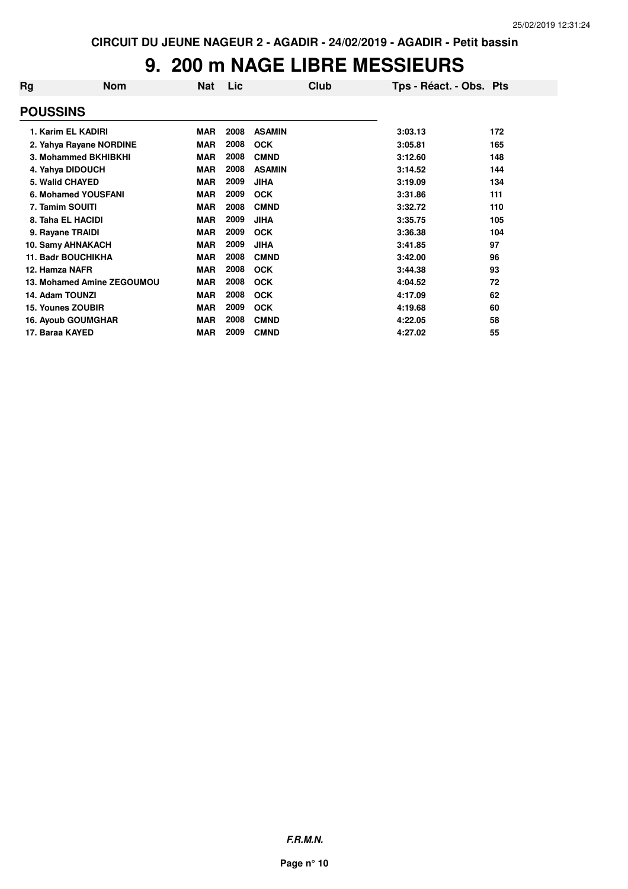# **9. 200 m NAGE LIBRE MESSIEURS**

| Rg              | <b>Nom</b>                 | Nat        | Lic  | Club          | Tps - Réact. - Obs. Pts |     |
|-----------------|----------------------------|------------|------|---------------|-------------------------|-----|
| <b>POUSSINS</b> |                            |            |      |               |                         |     |
|                 | 1. Karim EL KADIRI         | <b>MAR</b> | 2008 | <b>ASAMIN</b> | 3:03.13                 | 172 |
|                 | 2. Yahya Rayane NORDINE    | <b>MAR</b> | 2008 | <b>OCK</b>    | 3:05.81                 | 165 |
|                 | 3. Mohammed BKHIBKHI       | <b>MAR</b> | 2008 | <b>CMND</b>   | 3:12.60                 | 148 |
|                 | 4. Yahya DIDOUCH           | <b>MAR</b> | 2008 | <b>ASAMIN</b> | 3:14.52                 | 144 |
|                 | <b>5. Walid CHAYED</b>     | <b>MAR</b> | 2009 | <b>JIHA</b>   | 3:19.09                 | 134 |
|                 | 6. Mohamed YOUSFANI        | <b>MAR</b> | 2009 | <b>OCK</b>    | 3:31.86                 | 111 |
|                 | 7. Tamim SOUITI            | <b>MAR</b> | 2008 | <b>CMND</b>   | 3:32.72                 | 110 |
|                 | 8. Taha EL HACIDI          | <b>MAR</b> | 2009 | <b>JIHA</b>   | 3:35.75                 | 105 |
|                 | 9. Rayane TRAIDI           | <b>MAR</b> | 2009 | <b>OCK</b>    | 3:36.38                 | 104 |
|                 | 10. Samy AHNAKACH          | <b>MAR</b> | 2009 | <b>JIHA</b>   | 3:41.85                 | 97  |
|                 | <b>11. Badr BOUCHIKHA</b>  | <b>MAR</b> | 2008 | <b>CMND</b>   | 3:42.00                 | 96  |
| 12. Hamza NAFR  |                            | <b>MAR</b> | 2008 | <b>OCK</b>    | 3:44.38                 | 93  |
|                 | 13. Mohamed Amine ZEGOUMOU | <b>MAR</b> | 2008 | <b>OCK</b>    | 4:04.52                 | 72  |
| 14. Adam TOUNZI |                            | <b>MAR</b> | 2008 | <b>OCK</b>    | 4:17.09                 | 62  |
|                 | 15. Younes ZOUBIR          | <b>MAR</b> | 2009 | <b>OCK</b>    | 4:19.68                 | 60  |
|                 | <b>16. Ayoub GOUMGHAR</b>  | <b>MAR</b> | 2008 | <b>CMND</b>   | 4:22.05                 | 58  |
| 17. Baraa KAYED |                            | <b>MAR</b> | 2009 | <b>CMND</b>   | 4:27.02                 | 55  |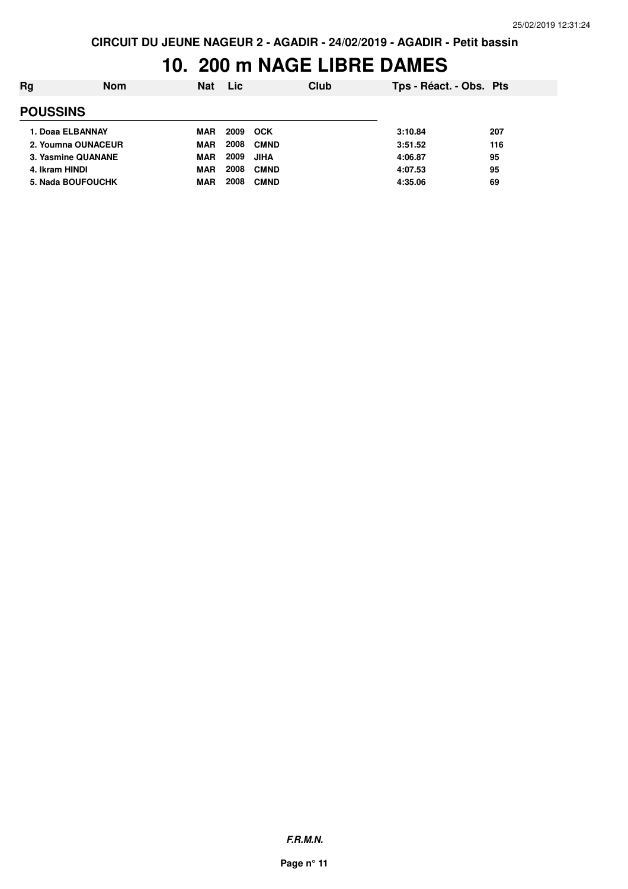#### **10. 200 m NAGE LIBRE DAMES**

| Rg | <b>Nom</b>         | <b>Nat</b> | Lic  | Club        | Tps - Réact. - Obs. Pts |     |
|----|--------------------|------------|------|-------------|-------------------------|-----|
|    | <b>POUSSINS</b>    |            |      |             |                         |     |
|    | 1. Doaa ELBANNAY   | <b>MAR</b> | 2009 | <b>OCK</b>  | 3:10.84                 | 207 |
|    | 2. Youmna OUNACEUR | <b>MAR</b> | 2008 | <b>CMND</b> | 3:51.52                 | 116 |
|    | 3. Yasmine QUANANE | <b>MAR</b> | 2009 | <b>JIHA</b> | 4:06.87                 | 95  |
|    | 4. Ikram HINDI     | MAR        | 2008 | <b>CMND</b> | 4:07.53                 | 95  |
|    | 5. Nada BOUFOUCHK  | MAR        | 2008 | <b>CMND</b> | 4:35.06                 | 69  |
|    |                    |            |      |             |                         |     |

**F.R.M.N.**

**Page n° 11**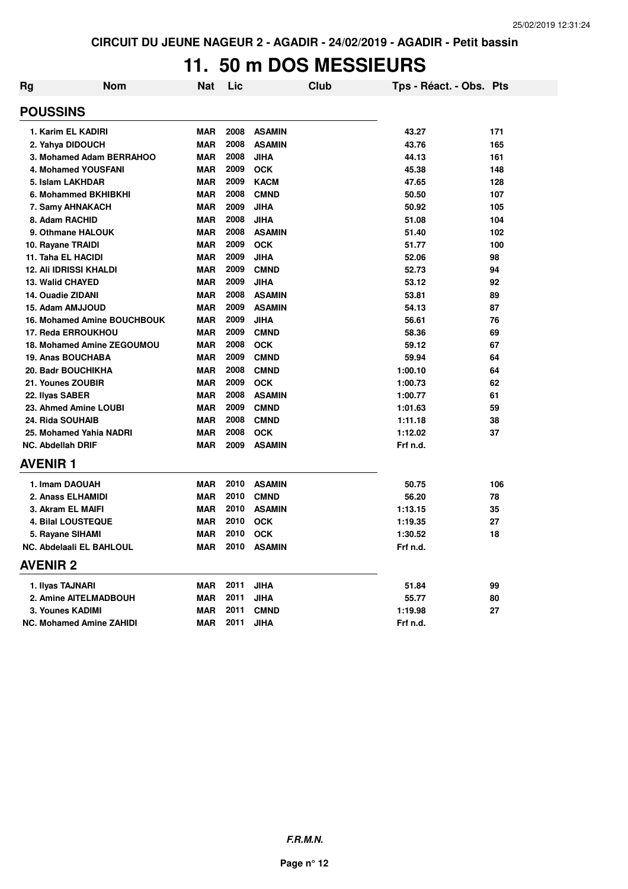# **11. 50 m DOS MESSIEURS**

| Rg                       | <b>Nom</b>                         | <b>Nat</b> | Lic  | <b>Club</b>   | Tps - Réact. - Obs. Pts |     |
|--------------------------|------------------------------------|------------|------|---------------|-------------------------|-----|
| <b>POUSSINS</b>          |                                    |            |      |               |                         |     |
|                          | 1. Karim EL KADIRI                 | <b>MAR</b> | 2008 | <b>ASAMIN</b> | 43.27                   | 171 |
|                          | 2. Yahya DIDOUCH                   | <b>MAR</b> | 2008 | <b>ASAMIN</b> | 43.76                   | 165 |
|                          | 3. Mohamed Adam BERRAHOO           | <b>MAR</b> | 2008 | <b>JIHA</b>   | 44.13                   | 161 |
|                          | <b>4. Mohamed YOUSFANI</b>         | <b>MAR</b> | 2009 | <b>OCK</b>    | 45.38                   | 148 |
|                          | 5. Islam LAKHDAR                   | <b>MAR</b> | 2009 | <b>KACM</b>   | 47.65                   | 128 |
|                          | 6. Mohammed BKHIBKHI               | <b>MAR</b> | 2008 | <b>CMND</b>   | 50.50                   | 107 |
|                          | 7. Samy AHNAKACH                   | <b>MAR</b> | 2009 | <b>JIHA</b>   | 50.92                   | 105 |
| 8. Adam RACHID           |                                    | <b>MAR</b> | 2008 | <b>JIHA</b>   | 51.08                   | 104 |
|                          | 9. Othmane HALOUK                  | <b>MAR</b> | 2008 | <b>ASAMIN</b> | 51.40                   | 102 |
| 10. Rayane TRAIDI        |                                    | <b>MAR</b> | 2009 | <b>OCK</b>    | 51.77                   | 100 |
| 11. Taha EL HACIDI       |                                    | <b>MAR</b> | 2009 | <b>JIHA</b>   | 52.06                   | 98  |
|                          | <b>12. Ali IDRISSI KHALDI</b>      | <b>MAR</b> | 2009 | <b>CMND</b>   | 52.73                   | 94  |
| <b>13. Walid CHAYED</b>  |                                    | <b>MAR</b> | 2009 | <b>JIHA</b>   | 53.12                   | 92  |
| 14. Ouadie ZIDANI        |                                    | <b>MAR</b> | 2008 | <b>ASAMIN</b> | 53.81                   | 89  |
|                          | 15. Adam AMJJOUD                   | <b>MAR</b> | 2009 | <b>ASAMIN</b> | 54.13                   | 87  |
|                          | <b>16. Mohamed Amine BOUCHBOUK</b> | <b>MAR</b> | 2009 | <b>JIHA</b>   | 56.61                   | 76  |
|                          | 17. Reda ERROUKHOU                 | <b>MAR</b> | 2009 | <b>CMND</b>   | 58.36                   | 69  |
|                          | 18. Mohamed Amine ZEGOUMOU         | <b>MAR</b> | 2008 | <b>OCK</b>    | 59.12                   | 67  |
|                          | 19. Anas BOUCHABA                  | <b>MAR</b> | 2009 | <b>CMND</b>   | 59.94                   | 64  |
|                          | <b>20. Badr BOUCHIKHA</b>          | <b>MAR</b> | 2008 | <b>CMND</b>   | 1:00.10                 | 64  |
| 21. Younes ZOUBIR        |                                    | <b>MAR</b> | 2009 | <b>OCK</b>    | 1:00.73                 | 62  |
| 22. Ilyas SABER          |                                    | <b>MAR</b> | 2008 | <b>ASAMIN</b> | 1:00.77                 | 61  |
|                          | 23. Ahmed Amine LOUBI              | <b>MAR</b> | 2009 | <b>CMND</b>   | 1:01.63                 | 59  |
| 24. Rida SOUHAIB         |                                    | <b>MAR</b> | 2008 | <b>CMND</b>   | 1:11.18                 | 38  |
|                          | 25. Mohamed Yahia NADRI            | <b>MAR</b> | 2008 | <b>OCK</b>    | 1:12.02                 | 37  |
| <b>NC. Abdellah DRIF</b> |                                    | <b>MAR</b> | 2009 | <b>ASAMIN</b> | Frf n.d.                |     |
| <b>AVENIR1</b>           |                                    |            |      |               |                         |     |
|                          | 1. Imam DAOUAH                     | <b>MAR</b> | 2010 | <b>ASAMIN</b> | 50.75                   | 106 |
|                          | 2. Anass ELHAMIDI                  | <b>MAR</b> | 2010 | <b>CMND</b>   | 56.20                   | 78  |
|                          | 3. Akram EL MAIFI                  | <b>MAR</b> | 2010 | <b>ASAMIN</b> | 1:13.15                 | 35  |
|                          | <b>4. Bilal LOUSTEQUE</b>          | <b>MAR</b> | 2010 | <b>OCK</b>    | 1:19.35                 | 27  |
|                          | 5. Rayane SIHAMI                   | <b>MAR</b> | 2010 | <b>OCK</b>    | 1:30.52                 | 18  |
|                          | NC. Abdelaali EL BAHLOUL           | <b>MAR</b> | 2010 | <b>ASAMIN</b> | Frf n.d.                |     |
| <b>AVENIR 2</b>          |                                    |            |      |               |                         |     |
| 1. Ilyas TAJNARI         |                                    | MAR        | 2011 | <b>JIHA</b>   | 51.84                   | 99  |
|                          | 2. Amine AITELMADBOUH              | <b>MAR</b> | 2011 | <b>JIHA</b>   | 55.77                   | 80  |
|                          | 3. Younes KADIMI                   | <b>MAR</b> | 2011 | <b>CMND</b>   | 1:19.98                 | 27  |
|                          | <b>NC. Mohamed Amine ZAHIDI</b>    | <b>MAR</b> | 2011 | <b>JIHA</b>   | Frf n.d.                |     |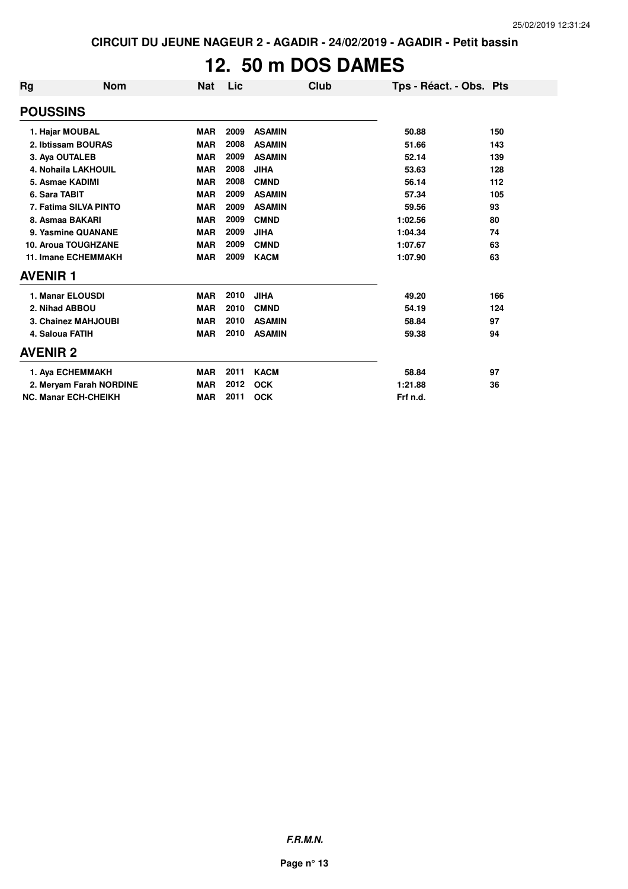# **12. 50 m DOS DAMES**

| <b>Rg</b>                  | <b>Nom</b>                  | <b>Nat</b> | Lic  | Club          | Tps - Réact. - Obs. Pts |     |
|----------------------------|-----------------------------|------------|------|---------------|-------------------------|-----|
| <b>POUSSINS</b>            |                             |            |      |               |                         |     |
| 1. Hajar MOUBAL            |                             | <b>MAR</b> | 2009 | <b>ASAMIN</b> | 50.88                   | 150 |
|                            | 2. Ibtissam BOURAS          | <b>MAR</b> | 2008 | <b>ASAMIN</b> | 51.66                   | 143 |
| 3. Aya OUTALEB             |                             | <b>MAR</b> | 2009 | <b>ASAMIN</b> | 52.14                   | 139 |
|                            | 4. Nohaila LAKHOUIL         | <b>MAR</b> | 2008 | <b>JIHA</b>   | 53.63                   | 128 |
| 5. Asmae KADIMI            |                             | <b>MAR</b> | 2008 | <b>CMND</b>   | 56.14                   | 112 |
| 6. Sara TABIT              |                             | <b>MAR</b> | 2009 | <b>ASAMIN</b> | 57.34                   | 105 |
|                            | 7. Fatima SILVA PINTO       | <b>MAR</b> | 2009 | <b>ASAMIN</b> | 59.56                   | 93  |
| 8. Asmaa BAKARI            |                             | <b>MAR</b> | 2009 | <b>CMND</b>   | 1:02.56                 | 80  |
|                            | 9. Yasmine QUANANE          | <b>MAR</b> | 2009 | <b>JIHA</b>   | 1:04.34                 | 74  |
|                            | 10. Aroua TOUGHZANE         | <b>MAR</b> | 2009 | <b>CMND</b>   | 1:07.67                 | 63  |
| <b>11. Imane ECHEMMAKH</b> |                             | <b>MAR</b> | 2009 | <b>KACM</b>   | 1:07.90                 | 63  |
| <b>AVENIR 1</b>            |                             |            |      |               |                         |     |
| 1. Manar ELOUSDI           |                             | <b>MAR</b> | 2010 | <b>JIHA</b>   | 49.20                   | 166 |
| 2. Nihad ABBOU             |                             | <b>MAR</b> | 2010 | <b>CMND</b>   | 54.19                   | 124 |
|                            | <b>3. Chainez MAHJOUBI</b>  | <b>MAR</b> | 2010 | <b>ASAMIN</b> | 58.84                   | 97  |
| 4. Saloua FATIH            |                             | <b>MAR</b> | 2010 | <b>ASAMIN</b> | 59.38                   | 94  |
| <b>AVENIR 2</b>            |                             |            |      |               |                         |     |
|                            | 1. Aya ECHEMMAKH            | <b>MAR</b> | 2011 | <b>KACM</b>   | 58.84                   | 97  |
|                            | 2. Meryam Farah NORDINE     | <b>MAR</b> | 2012 | <b>OCK</b>    | 1:21.88                 | 36  |
|                            | <b>NC. Manar ECH-CHEIKH</b> | <b>MAR</b> | 2011 | <b>OCK</b>    | Frf n.d.                |     |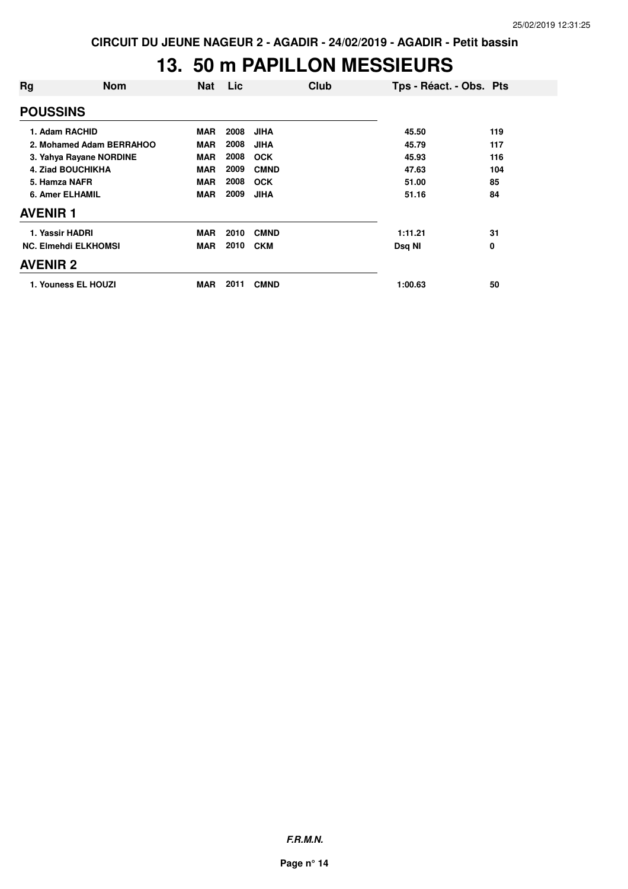## **13. 50 m PAPILLON MESSIEURS**

| Rg                          | <b>Nom</b>               | <b>Nat</b> | Lic  | Club        | Tps - Réact. - Obs. Pts |     |
|-----------------------------|--------------------------|------------|------|-------------|-------------------------|-----|
| <b>POUSSINS</b>             |                          |            |      |             |                         |     |
|                             | 1. Adam RACHID           | <b>MAR</b> | 2008 | <b>JIHA</b> | 45.50                   | 119 |
|                             | 2. Mohamed Adam BERRAHOO | <b>MAR</b> | 2008 | <b>JIHA</b> | 45.79                   | 117 |
|                             | 3. Yahya Rayane NORDINE  | <b>MAR</b> | 2008 | <b>OCK</b>  | 45.93                   | 116 |
| 4. Ziad BOUCHIKHA           |                          | <b>MAR</b> | 2009 | <b>CMND</b> | 47.63                   | 104 |
| 5. Hamza NAFR               |                          | <b>MAR</b> | 2008 | <b>OCK</b>  | 51.00                   | 85  |
| <b>6. Amer ELHAMIL</b>      |                          | <b>MAR</b> | 2009 | <b>JIHA</b> | 51.16                   | 84  |
| <b>AVENIR 1</b>             |                          |            |      |             |                         |     |
| 1. Yassir HADRI             |                          | <b>MAR</b> | 2010 | <b>CMND</b> | 1:11.21                 | 31  |
| <b>NC. Elmehdi ELKHOMSI</b> |                          | <b>MAR</b> | 2010 | <b>CKM</b>  | Dsq NI                  | 0   |
| <b>AVENIR 2</b>             |                          |            |      |             |                         |     |
|                             | 1. Youness EL HOUZI      | <b>MAR</b> | 2011 | <b>CMND</b> | 1:00.63                 | 50  |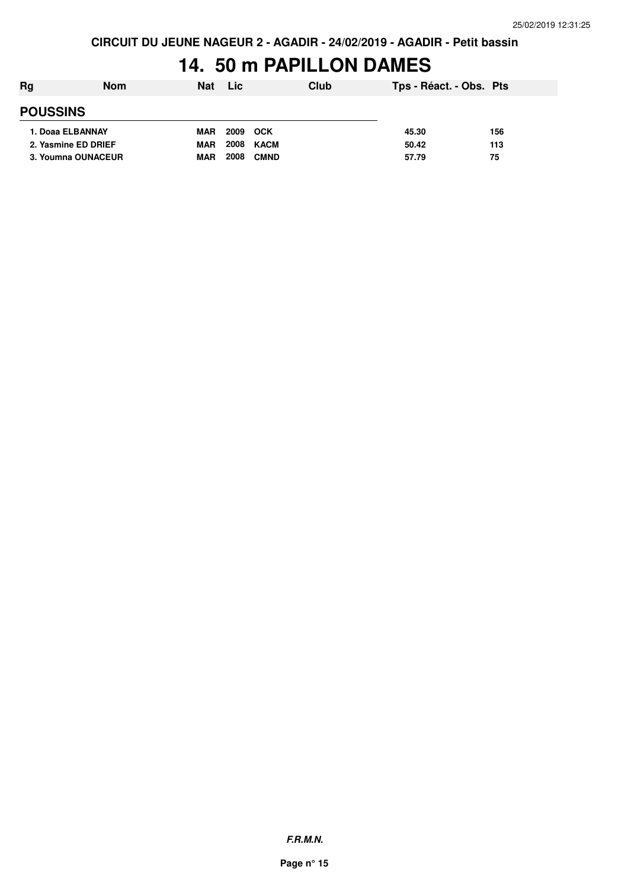### **14. 50 m PAPILLON DAMES**

| Rg                  | <b>Nom</b> | <b>Nat</b> | Lic  | Club        | Tps - Réact. - Obs. Pts |     |
|---------------------|------------|------------|------|-------------|-------------------------|-----|
| <b>POUSSINS</b>     |            |            |      |             |                         |     |
| 1. Doaa ELBANNAY    |            | <b>MAR</b> | 2009 | <b>OCK</b>  | 45.30                   | 156 |
| 2. Yasmine ED DRIEF |            | <b>MAR</b> | 2008 | KACM        | 50.42                   | 113 |
| 3. Youmna OUNACEUR  |            | <b>MAR</b> | 2008 | <b>CMND</b> | 57.79                   | 75  |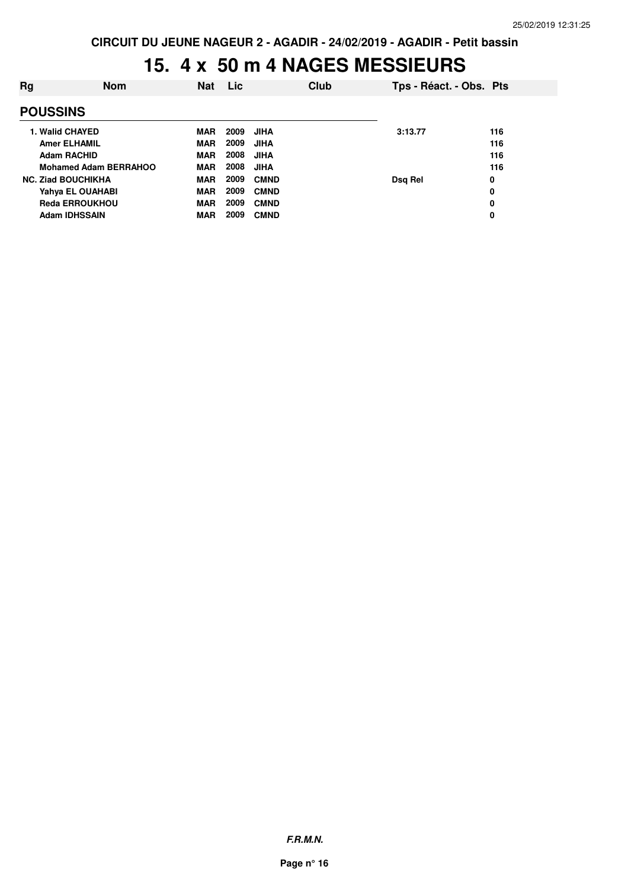## **15. 4 x 50 m 4 NAGES MESSIEURS**

| Rg                           | <b>Nom</b>            | <b>Nat</b> | Lic  |             | Club | Tps - Réact. - Obs. Pts |     |
|------------------------------|-----------------------|------------|------|-------------|------|-------------------------|-----|
| <b>POUSSINS</b>              |                       |            |      |             |      |                         |     |
|                              | 1. Walid CHAYED       | <b>MAR</b> | 2009 | <b>JIHA</b> |      | 3:13.77                 | 116 |
|                              | <b>Amer ELHAMIL</b>   | <b>MAR</b> | 2009 | <b>JIHA</b> |      |                         | 116 |
|                              | <b>Adam RACHID</b>    | <b>MAR</b> | 2008 | <b>JIHA</b> |      |                         | 116 |
| <b>Mohamed Adam BERRAHOO</b> |                       | <b>MAR</b> | 2008 | <b>JIHA</b> |      |                         | 116 |
| <b>NC. Ziad BOUCHIKHA</b>    |                       | <b>MAR</b> | 2009 | <b>CMND</b> |      | Dsg Rel                 | 0   |
|                              | Yahya EL OUAHABI      | <b>MAR</b> | 2009 | <b>CMND</b> |      |                         | 0   |
|                              | <b>Reda ERROUKHOU</b> | <b>MAR</b> | 2009 | <b>CMND</b> |      |                         | 0   |
|                              | <b>Adam IDHSSAIN</b>  | <b>MAR</b> | 2009 | <b>CMND</b> |      |                         | 0   |
|                              |                       |            |      |             |      |                         |     |